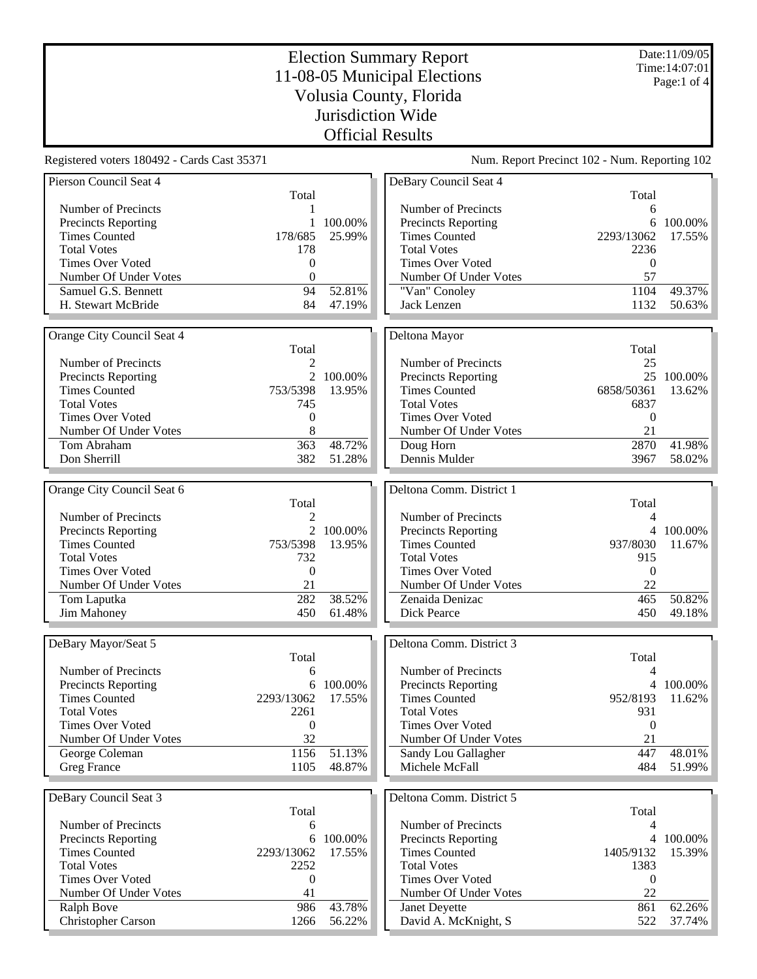Date:11/09/05 Time:14:07:01 Page:1 of 4

## Election Summary Report 11-08-05 Municipal Elections Volusia County, Florida Jurisdiction Wide Official Results

Registered voters 180492 - Cards Cast 35371 Num. Report Precinct 102 - Num. Reporting 102

| Total<br>Total<br>Number of Precincts<br>Number of Precincts<br>6<br>1<br>100.00%<br><b>Precincts Reporting</b><br><b>Precincts Reporting</b><br>6<br>100.00%<br>1<br>178/685<br><b>Times Counted</b><br>25.99%<br><b>Times Counted</b><br>2293/13062<br>17.55%<br>178<br><b>Total Votes</b><br><b>Total Votes</b><br>2236<br>Times Over Voted<br>0<br>Times Over Voted<br>$\mathbf{0}$<br>Number Of Under Votes<br>$\overline{0}$<br>Number Of Under Votes<br>57<br>52.81%<br>Samuel G.S. Bennett<br>94<br>"Van" Conoley<br>1104<br>49.37%<br>84<br>47.19%<br>H. Stewart McBride<br>Jack Lenzen<br>1132<br>50.63%<br>Orange City Council Seat 4<br>Deltona Mayor<br>Total<br>Total<br>$\overline{c}$<br>Number of Precincts<br>25<br>Number of Precincts<br>2 100.00%<br>25 100.00%<br>Precincts Reporting<br>Precincts Reporting<br>753/5398<br><b>Times Counted</b><br>13.95%<br><b>Times Counted</b><br>6858/50361<br>13.62%<br><b>Total Votes</b><br>745<br><b>Total Votes</b><br>6837<br><b>Times Over Voted</b><br><b>Times Over Voted</b><br>0<br>$\Omega$<br>8<br>Number Of Under Votes<br>Number Of Under Votes<br>21<br>48.72%<br>Tom Abraham<br>363<br>2870<br>41.98%<br>Doug Horn<br>Dennis Mulder<br>3967<br>58.02%<br>Don Sherrill<br>382<br>51.28%<br>Orange City Council Seat 6<br>Deltona Comm. District 1<br>Total<br>Total<br>Number of Precincts<br>Number of Precincts<br>$\mathfrak{D}$<br>4<br>$\overline{2}$<br>100.00%<br>4 100.00%<br><b>Precincts Reporting</b><br><b>Precincts Reporting</b><br><b>Times Counted</b><br><b>Times Counted</b><br>753/5398<br>13.95%<br>937/8030<br>11.67%<br><b>Total Votes</b><br>732<br><b>Total Votes</b><br>915<br><b>Times Over Voted</b><br><b>Times Over Voted</b><br>$\boldsymbol{0}$<br>$\mathbf{0}$<br>21<br>22<br>Number Of Under Votes<br>Number Of Under Votes<br>282<br>38.52%<br>465<br>50.82%<br>Tom Laputka<br>Zenaida Denizac<br>Jim Mahoney<br>450<br>61.48%<br>Dick Pearce<br>450<br>49.18%<br>Deltona Comm. District 3<br>DeBary Mayor/Seat 5<br>Total<br>Total<br>Number of Precincts<br>Number of Precincts<br>4<br>6<br>Precincts Reporting<br>6 100.00%<br><b>Precincts Reporting</b><br>4 100.00%<br><b>Times Counted</b><br><b>Times Counted</b><br>2293/13062<br>17.55%<br>952/8193<br>11.62%<br><b>Total Votes</b><br><b>Total Votes</b><br>2261<br>931<br>$\boldsymbol{0}$<br>Times Over Voted<br>$\boldsymbol{0}$<br>Times Over Voted<br>32<br>Number Of Under Votes<br>21<br>Number Of Under Votes<br>1156<br>447<br>George Coleman<br>51.13%<br>Sandy Lou Gallagher<br>48.01%<br>51.99%<br><b>Greg France</b><br>1105<br>48.87%<br>Michele McFall<br>484<br>Deltona Comm. District 5<br>DeBary Council Seat 3<br>Total<br>Total<br>Number of Precincts<br>Number of Precincts<br>6<br>4<br><b>Precincts Reporting</b><br>100.00%<br><b>Precincts Reporting</b><br>100.00%<br>6<br>4<br><b>Times Counted</b><br>17.55%<br><b>Times Counted</b><br>1405/9132<br>15.39%<br>2293/13062<br><b>Total Votes</b><br><b>Total Votes</b><br>2252<br>1383<br>Times Over Voted<br>Times Over Voted<br>0<br>0<br>Number Of Under Votes<br>Number Of Under Votes<br>22<br>41<br>43.78%<br>Ralph Bove<br>986<br>Janet Deyette<br>861<br>62.26%<br><b>Christopher Carson</b><br>56.22%<br>David A. McKnight, S<br>37.74%<br>1266<br>522 | Pierson Council Seat 4 |  | DeBary Council Seat 4 |  |
|----------------------------------------------------------------------------------------------------------------------------------------------------------------------------------------------------------------------------------------------------------------------------------------------------------------------------------------------------------------------------------------------------------------------------------------------------------------------------------------------------------------------------------------------------------------------------------------------------------------------------------------------------------------------------------------------------------------------------------------------------------------------------------------------------------------------------------------------------------------------------------------------------------------------------------------------------------------------------------------------------------------------------------------------------------------------------------------------------------------------------------------------------------------------------------------------------------------------------------------------------------------------------------------------------------------------------------------------------------------------------------------------------------------------------------------------------------------------------------------------------------------------------------------------------------------------------------------------------------------------------------------------------------------------------------------------------------------------------------------------------------------------------------------------------------------------------------------------------------------------------------------------------------------------------------------------------------------------------------------------------------------------------------------------------------------------------------------------------------------------------------------------------------------------------------------------------------------------------------------------------------------------------------------------------------------------------------------------------------------------------------------------------------------------------------------------------------------------------------------------------------------------------------------------------------------------------------------------------------------------------------------------------------------------------------------------------------------------------------------------------------------------------------------------------------------------------------------------------------------------------------------------------------------------------------------------------------------------------------------------------------------------------------------------------------------------------------------------------------------------------------------------------------------------------------------------------------------------------------------------------------------------------------------------------------------------|------------------------|--|-----------------------|--|
|                                                                                                                                                                                                                                                                                                                                                                                                                                                                                                                                                                                                                                                                                                                                                                                                                                                                                                                                                                                                                                                                                                                                                                                                                                                                                                                                                                                                                                                                                                                                                                                                                                                                                                                                                                                                                                                                                                                                                                                                                                                                                                                                                                                                                                                                                                                                                                                                                                                                                                                                                                                                                                                                                                                                                                                                                                                                                                                                                                                                                                                                                                                                                                                                                                                                                                                      |                        |  |                       |  |
|                                                                                                                                                                                                                                                                                                                                                                                                                                                                                                                                                                                                                                                                                                                                                                                                                                                                                                                                                                                                                                                                                                                                                                                                                                                                                                                                                                                                                                                                                                                                                                                                                                                                                                                                                                                                                                                                                                                                                                                                                                                                                                                                                                                                                                                                                                                                                                                                                                                                                                                                                                                                                                                                                                                                                                                                                                                                                                                                                                                                                                                                                                                                                                                                                                                                                                                      |                        |  |                       |  |
|                                                                                                                                                                                                                                                                                                                                                                                                                                                                                                                                                                                                                                                                                                                                                                                                                                                                                                                                                                                                                                                                                                                                                                                                                                                                                                                                                                                                                                                                                                                                                                                                                                                                                                                                                                                                                                                                                                                                                                                                                                                                                                                                                                                                                                                                                                                                                                                                                                                                                                                                                                                                                                                                                                                                                                                                                                                                                                                                                                                                                                                                                                                                                                                                                                                                                                                      |                        |  |                       |  |
|                                                                                                                                                                                                                                                                                                                                                                                                                                                                                                                                                                                                                                                                                                                                                                                                                                                                                                                                                                                                                                                                                                                                                                                                                                                                                                                                                                                                                                                                                                                                                                                                                                                                                                                                                                                                                                                                                                                                                                                                                                                                                                                                                                                                                                                                                                                                                                                                                                                                                                                                                                                                                                                                                                                                                                                                                                                                                                                                                                                                                                                                                                                                                                                                                                                                                                                      |                        |  |                       |  |
|                                                                                                                                                                                                                                                                                                                                                                                                                                                                                                                                                                                                                                                                                                                                                                                                                                                                                                                                                                                                                                                                                                                                                                                                                                                                                                                                                                                                                                                                                                                                                                                                                                                                                                                                                                                                                                                                                                                                                                                                                                                                                                                                                                                                                                                                                                                                                                                                                                                                                                                                                                                                                                                                                                                                                                                                                                                                                                                                                                                                                                                                                                                                                                                                                                                                                                                      |                        |  |                       |  |
|                                                                                                                                                                                                                                                                                                                                                                                                                                                                                                                                                                                                                                                                                                                                                                                                                                                                                                                                                                                                                                                                                                                                                                                                                                                                                                                                                                                                                                                                                                                                                                                                                                                                                                                                                                                                                                                                                                                                                                                                                                                                                                                                                                                                                                                                                                                                                                                                                                                                                                                                                                                                                                                                                                                                                                                                                                                                                                                                                                                                                                                                                                                                                                                                                                                                                                                      |                        |  |                       |  |
|                                                                                                                                                                                                                                                                                                                                                                                                                                                                                                                                                                                                                                                                                                                                                                                                                                                                                                                                                                                                                                                                                                                                                                                                                                                                                                                                                                                                                                                                                                                                                                                                                                                                                                                                                                                                                                                                                                                                                                                                                                                                                                                                                                                                                                                                                                                                                                                                                                                                                                                                                                                                                                                                                                                                                                                                                                                                                                                                                                                                                                                                                                                                                                                                                                                                                                                      |                        |  |                       |  |
|                                                                                                                                                                                                                                                                                                                                                                                                                                                                                                                                                                                                                                                                                                                                                                                                                                                                                                                                                                                                                                                                                                                                                                                                                                                                                                                                                                                                                                                                                                                                                                                                                                                                                                                                                                                                                                                                                                                                                                                                                                                                                                                                                                                                                                                                                                                                                                                                                                                                                                                                                                                                                                                                                                                                                                                                                                                                                                                                                                                                                                                                                                                                                                                                                                                                                                                      |                        |  |                       |  |
|                                                                                                                                                                                                                                                                                                                                                                                                                                                                                                                                                                                                                                                                                                                                                                                                                                                                                                                                                                                                                                                                                                                                                                                                                                                                                                                                                                                                                                                                                                                                                                                                                                                                                                                                                                                                                                                                                                                                                                                                                                                                                                                                                                                                                                                                                                                                                                                                                                                                                                                                                                                                                                                                                                                                                                                                                                                                                                                                                                                                                                                                                                                                                                                                                                                                                                                      |                        |  |                       |  |
|                                                                                                                                                                                                                                                                                                                                                                                                                                                                                                                                                                                                                                                                                                                                                                                                                                                                                                                                                                                                                                                                                                                                                                                                                                                                                                                                                                                                                                                                                                                                                                                                                                                                                                                                                                                                                                                                                                                                                                                                                                                                                                                                                                                                                                                                                                                                                                                                                                                                                                                                                                                                                                                                                                                                                                                                                                                                                                                                                                                                                                                                                                                                                                                                                                                                                                                      |                        |  |                       |  |
|                                                                                                                                                                                                                                                                                                                                                                                                                                                                                                                                                                                                                                                                                                                                                                                                                                                                                                                                                                                                                                                                                                                                                                                                                                                                                                                                                                                                                                                                                                                                                                                                                                                                                                                                                                                                                                                                                                                                                                                                                                                                                                                                                                                                                                                                                                                                                                                                                                                                                                                                                                                                                                                                                                                                                                                                                                                                                                                                                                                                                                                                                                                                                                                                                                                                                                                      |                        |  |                       |  |
|                                                                                                                                                                                                                                                                                                                                                                                                                                                                                                                                                                                                                                                                                                                                                                                                                                                                                                                                                                                                                                                                                                                                                                                                                                                                                                                                                                                                                                                                                                                                                                                                                                                                                                                                                                                                                                                                                                                                                                                                                                                                                                                                                                                                                                                                                                                                                                                                                                                                                                                                                                                                                                                                                                                                                                                                                                                                                                                                                                                                                                                                                                                                                                                                                                                                                                                      |                        |  |                       |  |
|                                                                                                                                                                                                                                                                                                                                                                                                                                                                                                                                                                                                                                                                                                                                                                                                                                                                                                                                                                                                                                                                                                                                                                                                                                                                                                                                                                                                                                                                                                                                                                                                                                                                                                                                                                                                                                                                                                                                                                                                                                                                                                                                                                                                                                                                                                                                                                                                                                                                                                                                                                                                                                                                                                                                                                                                                                                                                                                                                                                                                                                                                                                                                                                                                                                                                                                      |                        |  |                       |  |
|                                                                                                                                                                                                                                                                                                                                                                                                                                                                                                                                                                                                                                                                                                                                                                                                                                                                                                                                                                                                                                                                                                                                                                                                                                                                                                                                                                                                                                                                                                                                                                                                                                                                                                                                                                                                                                                                                                                                                                                                                                                                                                                                                                                                                                                                                                                                                                                                                                                                                                                                                                                                                                                                                                                                                                                                                                                                                                                                                                                                                                                                                                                                                                                                                                                                                                                      |                        |  |                       |  |
|                                                                                                                                                                                                                                                                                                                                                                                                                                                                                                                                                                                                                                                                                                                                                                                                                                                                                                                                                                                                                                                                                                                                                                                                                                                                                                                                                                                                                                                                                                                                                                                                                                                                                                                                                                                                                                                                                                                                                                                                                                                                                                                                                                                                                                                                                                                                                                                                                                                                                                                                                                                                                                                                                                                                                                                                                                                                                                                                                                                                                                                                                                                                                                                                                                                                                                                      |                        |  |                       |  |
|                                                                                                                                                                                                                                                                                                                                                                                                                                                                                                                                                                                                                                                                                                                                                                                                                                                                                                                                                                                                                                                                                                                                                                                                                                                                                                                                                                                                                                                                                                                                                                                                                                                                                                                                                                                                                                                                                                                                                                                                                                                                                                                                                                                                                                                                                                                                                                                                                                                                                                                                                                                                                                                                                                                                                                                                                                                                                                                                                                                                                                                                                                                                                                                                                                                                                                                      |                        |  |                       |  |
|                                                                                                                                                                                                                                                                                                                                                                                                                                                                                                                                                                                                                                                                                                                                                                                                                                                                                                                                                                                                                                                                                                                                                                                                                                                                                                                                                                                                                                                                                                                                                                                                                                                                                                                                                                                                                                                                                                                                                                                                                                                                                                                                                                                                                                                                                                                                                                                                                                                                                                                                                                                                                                                                                                                                                                                                                                                                                                                                                                                                                                                                                                                                                                                                                                                                                                                      |                        |  |                       |  |
|                                                                                                                                                                                                                                                                                                                                                                                                                                                                                                                                                                                                                                                                                                                                                                                                                                                                                                                                                                                                                                                                                                                                                                                                                                                                                                                                                                                                                                                                                                                                                                                                                                                                                                                                                                                                                                                                                                                                                                                                                                                                                                                                                                                                                                                                                                                                                                                                                                                                                                                                                                                                                                                                                                                                                                                                                                                                                                                                                                                                                                                                                                                                                                                                                                                                                                                      |                        |  |                       |  |
|                                                                                                                                                                                                                                                                                                                                                                                                                                                                                                                                                                                                                                                                                                                                                                                                                                                                                                                                                                                                                                                                                                                                                                                                                                                                                                                                                                                                                                                                                                                                                                                                                                                                                                                                                                                                                                                                                                                                                                                                                                                                                                                                                                                                                                                                                                                                                                                                                                                                                                                                                                                                                                                                                                                                                                                                                                                                                                                                                                                                                                                                                                                                                                                                                                                                                                                      |                        |  |                       |  |
|                                                                                                                                                                                                                                                                                                                                                                                                                                                                                                                                                                                                                                                                                                                                                                                                                                                                                                                                                                                                                                                                                                                                                                                                                                                                                                                                                                                                                                                                                                                                                                                                                                                                                                                                                                                                                                                                                                                                                                                                                                                                                                                                                                                                                                                                                                                                                                                                                                                                                                                                                                                                                                                                                                                                                                                                                                                                                                                                                                                                                                                                                                                                                                                                                                                                                                                      |                        |  |                       |  |
|                                                                                                                                                                                                                                                                                                                                                                                                                                                                                                                                                                                                                                                                                                                                                                                                                                                                                                                                                                                                                                                                                                                                                                                                                                                                                                                                                                                                                                                                                                                                                                                                                                                                                                                                                                                                                                                                                                                                                                                                                                                                                                                                                                                                                                                                                                                                                                                                                                                                                                                                                                                                                                                                                                                                                                                                                                                                                                                                                                                                                                                                                                                                                                                                                                                                                                                      |                        |  |                       |  |
|                                                                                                                                                                                                                                                                                                                                                                                                                                                                                                                                                                                                                                                                                                                                                                                                                                                                                                                                                                                                                                                                                                                                                                                                                                                                                                                                                                                                                                                                                                                                                                                                                                                                                                                                                                                                                                                                                                                                                                                                                                                                                                                                                                                                                                                                                                                                                                                                                                                                                                                                                                                                                                                                                                                                                                                                                                                                                                                                                                                                                                                                                                                                                                                                                                                                                                                      |                        |  |                       |  |
|                                                                                                                                                                                                                                                                                                                                                                                                                                                                                                                                                                                                                                                                                                                                                                                                                                                                                                                                                                                                                                                                                                                                                                                                                                                                                                                                                                                                                                                                                                                                                                                                                                                                                                                                                                                                                                                                                                                                                                                                                                                                                                                                                                                                                                                                                                                                                                                                                                                                                                                                                                                                                                                                                                                                                                                                                                                                                                                                                                                                                                                                                                                                                                                                                                                                                                                      |                        |  |                       |  |
|                                                                                                                                                                                                                                                                                                                                                                                                                                                                                                                                                                                                                                                                                                                                                                                                                                                                                                                                                                                                                                                                                                                                                                                                                                                                                                                                                                                                                                                                                                                                                                                                                                                                                                                                                                                                                                                                                                                                                                                                                                                                                                                                                                                                                                                                                                                                                                                                                                                                                                                                                                                                                                                                                                                                                                                                                                                                                                                                                                                                                                                                                                                                                                                                                                                                                                                      |                        |  |                       |  |
|                                                                                                                                                                                                                                                                                                                                                                                                                                                                                                                                                                                                                                                                                                                                                                                                                                                                                                                                                                                                                                                                                                                                                                                                                                                                                                                                                                                                                                                                                                                                                                                                                                                                                                                                                                                                                                                                                                                                                                                                                                                                                                                                                                                                                                                                                                                                                                                                                                                                                                                                                                                                                                                                                                                                                                                                                                                                                                                                                                                                                                                                                                                                                                                                                                                                                                                      |                        |  |                       |  |
|                                                                                                                                                                                                                                                                                                                                                                                                                                                                                                                                                                                                                                                                                                                                                                                                                                                                                                                                                                                                                                                                                                                                                                                                                                                                                                                                                                                                                                                                                                                                                                                                                                                                                                                                                                                                                                                                                                                                                                                                                                                                                                                                                                                                                                                                                                                                                                                                                                                                                                                                                                                                                                                                                                                                                                                                                                                                                                                                                                                                                                                                                                                                                                                                                                                                                                                      |                        |  |                       |  |
|                                                                                                                                                                                                                                                                                                                                                                                                                                                                                                                                                                                                                                                                                                                                                                                                                                                                                                                                                                                                                                                                                                                                                                                                                                                                                                                                                                                                                                                                                                                                                                                                                                                                                                                                                                                                                                                                                                                                                                                                                                                                                                                                                                                                                                                                                                                                                                                                                                                                                                                                                                                                                                                                                                                                                                                                                                                                                                                                                                                                                                                                                                                                                                                                                                                                                                                      |                        |  |                       |  |
|                                                                                                                                                                                                                                                                                                                                                                                                                                                                                                                                                                                                                                                                                                                                                                                                                                                                                                                                                                                                                                                                                                                                                                                                                                                                                                                                                                                                                                                                                                                                                                                                                                                                                                                                                                                                                                                                                                                                                                                                                                                                                                                                                                                                                                                                                                                                                                                                                                                                                                                                                                                                                                                                                                                                                                                                                                                                                                                                                                                                                                                                                                                                                                                                                                                                                                                      |                        |  |                       |  |
|                                                                                                                                                                                                                                                                                                                                                                                                                                                                                                                                                                                                                                                                                                                                                                                                                                                                                                                                                                                                                                                                                                                                                                                                                                                                                                                                                                                                                                                                                                                                                                                                                                                                                                                                                                                                                                                                                                                                                                                                                                                                                                                                                                                                                                                                                                                                                                                                                                                                                                                                                                                                                                                                                                                                                                                                                                                                                                                                                                                                                                                                                                                                                                                                                                                                                                                      |                        |  |                       |  |
|                                                                                                                                                                                                                                                                                                                                                                                                                                                                                                                                                                                                                                                                                                                                                                                                                                                                                                                                                                                                                                                                                                                                                                                                                                                                                                                                                                                                                                                                                                                                                                                                                                                                                                                                                                                                                                                                                                                                                                                                                                                                                                                                                                                                                                                                                                                                                                                                                                                                                                                                                                                                                                                                                                                                                                                                                                                                                                                                                                                                                                                                                                                                                                                                                                                                                                                      |                        |  |                       |  |
|                                                                                                                                                                                                                                                                                                                                                                                                                                                                                                                                                                                                                                                                                                                                                                                                                                                                                                                                                                                                                                                                                                                                                                                                                                                                                                                                                                                                                                                                                                                                                                                                                                                                                                                                                                                                                                                                                                                                                                                                                                                                                                                                                                                                                                                                                                                                                                                                                                                                                                                                                                                                                                                                                                                                                                                                                                                                                                                                                                                                                                                                                                                                                                                                                                                                                                                      |                        |  |                       |  |
|                                                                                                                                                                                                                                                                                                                                                                                                                                                                                                                                                                                                                                                                                                                                                                                                                                                                                                                                                                                                                                                                                                                                                                                                                                                                                                                                                                                                                                                                                                                                                                                                                                                                                                                                                                                                                                                                                                                                                                                                                                                                                                                                                                                                                                                                                                                                                                                                                                                                                                                                                                                                                                                                                                                                                                                                                                                                                                                                                                                                                                                                                                                                                                                                                                                                                                                      |                        |  |                       |  |
|                                                                                                                                                                                                                                                                                                                                                                                                                                                                                                                                                                                                                                                                                                                                                                                                                                                                                                                                                                                                                                                                                                                                                                                                                                                                                                                                                                                                                                                                                                                                                                                                                                                                                                                                                                                                                                                                                                                                                                                                                                                                                                                                                                                                                                                                                                                                                                                                                                                                                                                                                                                                                                                                                                                                                                                                                                                                                                                                                                                                                                                                                                                                                                                                                                                                                                                      |                        |  |                       |  |
|                                                                                                                                                                                                                                                                                                                                                                                                                                                                                                                                                                                                                                                                                                                                                                                                                                                                                                                                                                                                                                                                                                                                                                                                                                                                                                                                                                                                                                                                                                                                                                                                                                                                                                                                                                                                                                                                                                                                                                                                                                                                                                                                                                                                                                                                                                                                                                                                                                                                                                                                                                                                                                                                                                                                                                                                                                                                                                                                                                                                                                                                                                                                                                                                                                                                                                                      |                        |  |                       |  |
|                                                                                                                                                                                                                                                                                                                                                                                                                                                                                                                                                                                                                                                                                                                                                                                                                                                                                                                                                                                                                                                                                                                                                                                                                                                                                                                                                                                                                                                                                                                                                                                                                                                                                                                                                                                                                                                                                                                                                                                                                                                                                                                                                                                                                                                                                                                                                                                                                                                                                                                                                                                                                                                                                                                                                                                                                                                                                                                                                                                                                                                                                                                                                                                                                                                                                                                      |                        |  |                       |  |
|                                                                                                                                                                                                                                                                                                                                                                                                                                                                                                                                                                                                                                                                                                                                                                                                                                                                                                                                                                                                                                                                                                                                                                                                                                                                                                                                                                                                                                                                                                                                                                                                                                                                                                                                                                                                                                                                                                                                                                                                                                                                                                                                                                                                                                                                                                                                                                                                                                                                                                                                                                                                                                                                                                                                                                                                                                                                                                                                                                                                                                                                                                                                                                                                                                                                                                                      |                        |  |                       |  |
|                                                                                                                                                                                                                                                                                                                                                                                                                                                                                                                                                                                                                                                                                                                                                                                                                                                                                                                                                                                                                                                                                                                                                                                                                                                                                                                                                                                                                                                                                                                                                                                                                                                                                                                                                                                                                                                                                                                                                                                                                                                                                                                                                                                                                                                                                                                                                                                                                                                                                                                                                                                                                                                                                                                                                                                                                                                                                                                                                                                                                                                                                                                                                                                                                                                                                                                      |                        |  |                       |  |
|                                                                                                                                                                                                                                                                                                                                                                                                                                                                                                                                                                                                                                                                                                                                                                                                                                                                                                                                                                                                                                                                                                                                                                                                                                                                                                                                                                                                                                                                                                                                                                                                                                                                                                                                                                                                                                                                                                                                                                                                                                                                                                                                                                                                                                                                                                                                                                                                                                                                                                                                                                                                                                                                                                                                                                                                                                                                                                                                                                                                                                                                                                                                                                                                                                                                                                                      |                        |  |                       |  |
|                                                                                                                                                                                                                                                                                                                                                                                                                                                                                                                                                                                                                                                                                                                                                                                                                                                                                                                                                                                                                                                                                                                                                                                                                                                                                                                                                                                                                                                                                                                                                                                                                                                                                                                                                                                                                                                                                                                                                                                                                                                                                                                                                                                                                                                                                                                                                                                                                                                                                                                                                                                                                                                                                                                                                                                                                                                                                                                                                                                                                                                                                                                                                                                                                                                                                                                      |                        |  |                       |  |
|                                                                                                                                                                                                                                                                                                                                                                                                                                                                                                                                                                                                                                                                                                                                                                                                                                                                                                                                                                                                                                                                                                                                                                                                                                                                                                                                                                                                                                                                                                                                                                                                                                                                                                                                                                                                                                                                                                                                                                                                                                                                                                                                                                                                                                                                                                                                                                                                                                                                                                                                                                                                                                                                                                                                                                                                                                                                                                                                                                                                                                                                                                                                                                                                                                                                                                                      |                        |  |                       |  |
|                                                                                                                                                                                                                                                                                                                                                                                                                                                                                                                                                                                                                                                                                                                                                                                                                                                                                                                                                                                                                                                                                                                                                                                                                                                                                                                                                                                                                                                                                                                                                                                                                                                                                                                                                                                                                                                                                                                                                                                                                                                                                                                                                                                                                                                                                                                                                                                                                                                                                                                                                                                                                                                                                                                                                                                                                                                                                                                                                                                                                                                                                                                                                                                                                                                                                                                      |                        |  |                       |  |
|                                                                                                                                                                                                                                                                                                                                                                                                                                                                                                                                                                                                                                                                                                                                                                                                                                                                                                                                                                                                                                                                                                                                                                                                                                                                                                                                                                                                                                                                                                                                                                                                                                                                                                                                                                                                                                                                                                                                                                                                                                                                                                                                                                                                                                                                                                                                                                                                                                                                                                                                                                                                                                                                                                                                                                                                                                                                                                                                                                                                                                                                                                                                                                                                                                                                                                                      |                        |  |                       |  |
|                                                                                                                                                                                                                                                                                                                                                                                                                                                                                                                                                                                                                                                                                                                                                                                                                                                                                                                                                                                                                                                                                                                                                                                                                                                                                                                                                                                                                                                                                                                                                                                                                                                                                                                                                                                                                                                                                                                                                                                                                                                                                                                                                                                                                                                                                                                                                                                                                                                                                                                                                                                                                                                                                                                                                                                                                                                                                                                                                                                                                                                                                                                                                                                                                                                                                                                      |                        |  |                       |  |
|                                                                                                                                                                                                                                                                                                                                                                                                                                                                                                                                                                                                                                                                                                                                                                                                                                                                                                                                                                                                                                                                                                                                                                                                                                                                                                                                                                                                                                                                                                                                                                                                                                                                                                                                                                                                                                                                                                                                                                                                                                                                                                                                                                                                                                                                                                                                                                                                                                                                                                                                                                                                                                                                                                                                                                                                                                                                                                                                                                                                                                                                                                                                                                                                                                                                                                                      |                        |  |                       |  |
|                                                                                                                                                                                                                                                                                                                                                                                                                                                                                                                                                                                                                                                                                                                                                                                                                                                                                                                                                                                                                                                                                                                                                                                                                                                                                                                                                                                                                                                                                                                                                                                                                                                                                                                                                                                                                                                                                                                                                                                                                                                                                                                                                                                                                                                                                                                                                                                                                                                                                                                                                                                                                                                                                                                                                                                                                                                                                                                                                                                                                                                                                                                                                                                                                                                                                                                      |                        |  |                       |  |
|                                                                                                                                                                                                                                                                                                                                                                                                                                                                                                                                                                                                                                                                                                                                                                                                                                                                                                                                                                                                                                                                                                                                                                                                                                                                                                                                                                                                                                                                                                                                                                                                                                                                                                                                                                                                                                                                                                                                                                                                                                                                                                                                                                                                                                                                                                                                                                                                                                                                                                                                                                                                                                                                                                                                                                                                                                                                                                                                                                                                                                                                                                                                                                                                                                                                                                                      |                        |  |                       |  |
|                                                                                                                                                                                                                                                                                                                                                                                                                                                                                                                                                                                                                                                                                                                                                                                                                                                                                                                                                                                                                                                                                                                                                                                                                                                                                                                                                                                                                                                                                                                                                                                                                                                                                                                                                                                                                                                                                                                                                                                                                                                                                                                                                                                                                                                                                                                                                                                                                                                                                                                                                                                                                                                                                                                                                                                                                                                                                                                                                                                                                                                                                                                                                                                                                                                                                                                      |                        |  |                       |  |
|                                                                                                                                                                                                                                                                                                                                                                                                                                                                                                                                                                                                                                                                                                                                                                                                                                                                                                                                                                                                                                                                                                                                                                                                                                                                                                                                                                                                                                                                                                                                                                                                                                                                                                                                                                                                                                                                                                                                                                                                                                                                                                                                                                                                                                                                                                                                                                                                                                                                                                                                                                                                                                                                                                                                                                                                                                                                                                                                                                                                                                                                                                                                                                                                                                                                                                                      |                        |  |                       |  |
|                                                                                                                                                                                                                                                                                                                                                                                                                                                                                                                                                                                                                                                                                                                                                                                                                                                                                                                                                                                                                                                                                                                                                                                                                                                                                                                                                                                                                                                                                                                                                                                                                                                                                                                                                                                                                                                                                                                                                                                                                                                                                                                                                                                                                                                                                                                                                                                                                                                                                                                                                                                                                                                                                                                                                                                                                                                                                                                                                                                                                                                                                                                                                                                                                                                                                                                      |                        |  |                       |  |
|                                                                                                                                                                                                                                                                                                                                                                                                                                                                                                                                                                                                                                                                                                                                                                                                                                                                                                                                                                                                                                                                                                                                                                                                                                                                                                                                                                                                                                                                                                                                                                                                                                                                                                                                                                                                                                                                                                                                                                                                                                                                                                                                                                                                                                                                                                                                                                                                                                                                                                                                                                                                                                                                                                                                                                                                                                                                                                                                                                                                                                                                                                                                                                                                                                                                                                                      |                        |  |                       |  |
|                                                                                                                                                                                                                                                                                                                                                                                                                                                                                                                                                                                                                                                                                                                                                                                                                                                                                                                                                                                                                                                                                                                                                                                                                                                                                                                                                                                                                                                                                                                                                                                                                                                                                                                                                                                                                                                                                                                                                                                                                                                                                                                                                                                                                                                                                                                                                                                                                                                                                                                                                                                                                                                                                                                                                                                                                                                                                                                                                                                                                                                                                                                                                                                                                                                                                                                      |                        |  |                       |  |
|                                                                                                                                                                                                                                                                                                                                                                                                                                                                                                                                                                                                                                                                                                                                                                                                                                                                                                                                                                                                                                                                                                                                                                                                                                                                                                                                                                                                                                                                                                                                                                                                                                                                                                                                                                                                                                                                                                                                                                                                                                                                                                                                                                                                                                                                                                                                                                                                                                                                                                                                                                                                                                                                                                                                                                                                                                                                                                                                                                                                                                                                                                                                                                                                                                                                                                                      |                        |  |                       |  |
|                                                                                                                                                                                                                                                                                                                                                                                                                                                                                                                                                                                                                                                                                                                                                                                                                                                                                                                                                                                                                                                                                                                                                                                                                                                                                                                                                                                                                                                                                                                                                                                                                                                                                                                                                                                                                                                                                                                                                                                                                                                                                                                                                                                                                                                                                                                                                                                                                                                                                                                                                                                                                                                                                                                                                                                                                                                                                                                                                                                                                                                                                                                                                                                                                                                                                                                      |                        |  |                       |  |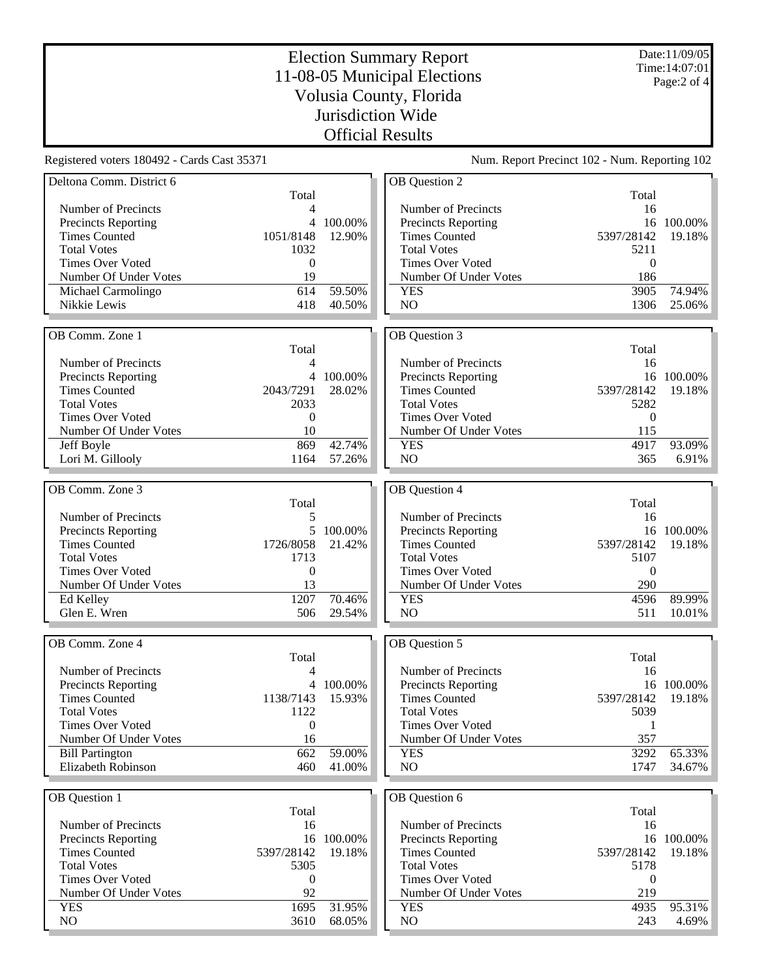Date:11/09/05 Time:14:07:01 Page:2 of 4

Total

## Election Summary Report 11-08-05 Municipal Elections Volusia County, Florida Jurisdiction Wide Official Results

OB Question 2

Registered voters 180492 - Cards Cast 35371 Num. Report Precinct 102 - Num. Reporting 102

| Deltona Comm. District 6                   |                   |         |
|--------------------------------------------|-------------------|---------|
|                                            | Total             |         |
| Number of Precincts                        | 4                 |         |
| <b>Precincts Reporting</b>                 | $\overline{4}$    | 100.00% |
| <b>Times Counted</b>                       | 1051/8148         | 12.90%  |
| <b>Total Votes</b>                         | 1032              |         |
| <b>Times Over Voted</b>                    | 0                 |         |
| Number Of Under Votes                      | 19                |         |
| Michael Carmolingo                         | 614               | 59.50%  |
| Nikkie Lewis                               | 418               | 40.50%  |
|                                            |                   |         |
| OB Comm. Zone 1                            |                   |         |
|                                            | Total             |         |
| Number of Precincts                        | 4                 |         |
| <b>Precincts Reporting</b>                 | 4                 | 100.00% |
| <b>Times Counted</b>                       | 2043/7291         | 28.02%  |
| <b>Total Votes</b>                         | 2033              |         |
| <b>Times Over Voted</b>                    | 0                 |         |
| Number Of Under Votes                      | 10                |         |
| Jeff Boyle                                 | 869               | 42.74%  |
| Lori M. Gillooly                           | 1164              | 57.26%  |
|                                            |                   |         |
| OB Comm. Zone 3                            |                   |         |
|                                            | Total             |         |
| Number of Precincts                        |                   |         |
|                                            | 5<br>5            |         |
| <b>Precincts Reporting</b>                 |                   | 100.00% |
| <b>Times Counted</b><br><b>Total Votes</b> | 1726/8058<br>1713 | 21.42%  |
|                                            |                   |         |
| <b>Times Over Voted</b>                    | $\mathbf{0}$      |         |
| Number Of Under Votes                      | 13<br>1207        | 70.46%  |
| Ed Kelley<br>Glen E. Wren                  | 506               | 29.54%  |
|                                            |                   |         |
|                                            |                   |         |
| OB Comm. Zone 4                            |                   |         |
|                                            | Total             |         |
| Number of Precincts                        | 4                 |         |
| <b>Precincts Reporting</b>                 | 4                 | 100.00% |
| <b>Times Counted</b>                       | 1138/7143         | 15.93%  |
| <b>Total Votes</b>                         | 1122              |         |
| <b>Times Over Voted</b>                    | 0                 |         |
| Number Of Under Votes                      | 16                |         |
| <b>Bill Partington</b>                     | 662               | 59.00%  |
| Elizabeth Robinson                         | 460               | 41.00%  |
|                                            |                   |         |
| OB Question 1                              |                   |         |
|                                            | Total             |         |
| Number of Precincts                        | 16                |         |
| <b>Precincts Reporting</b>                 | 16                | 100.00% |
| <b>Times Counted</b>                       | 5397/28142        | 19.18%  |
| <b>Total Votes</b>                         | 5305              |         |
| <b>Times Over Voted</b>                    | 0                 |         |
| Number Of Under Votes                      | 92                |         |
| <b>YES</b>                                 | 1695              | 31.95%  |
| NO                                         | 3610              | 68.05%  |
|                                            |                   |         |

| Number of Precincts        | 16         |         |
|----------------------------|------------|---------|
| <b>Precincts Reporting</b> | 16         | 100.00% |
| <b>Times Counted</b>       | 5397/28142 | 19.18%  |
| <b>Total Votes</b>         | 5211       |         |
| Times Over Voted           | $\Omega$   |         |
| Number Of Under Votes      | 186        |         |
| YES                        | 3905       | 74.94%  |
| NO.                        | 1306       | 25.06%  |
|                            |            |         |
|                            |            |         |
| OB Question 3              |            |         |
|                            | Total      |         |
| Number of Precincts        | 16         |         |
| <b>Precincts Reporting</b> | 16         | 100.00% |
| <b>Times Counted</b>       | 5397/28142 | 19.18%  |
| <b>Total Votes</b>         | 5282       |         |
| Times Over Voted           | 0          |         |
| Number Of Under Votes      | 115        |         |
| YES                        | 4917       | 93.09%  |

| OB Question 4              |                   |            |
|----------------------------|-------------------|------------|
|                            | Total             |            |
| Number of Precincts        | 16                |            |
| <b>Precincts Reporting</b> |                   | 16 100.00% |
| <b>Times Counted</b>       | 5397/28142 19.18% |            |
| <b>Total Votes</b>         | 5107              |            |
| Times Over Voted           | $\mathbf{\Omega}$ |            |
| Number Of Under Votes      | 290               |            |
| <b>YES</b>                 | 4596              | 89.99%     |
| NΟ                         | 511               | 10.01%     |

| <b>OB</b> Ouestion 5       |            |            |
|----------------------------|------------|------------|
|                            | Total      |            |
| Number of Precincts        | 16         |            |
| <b>Precincts Reporting</b> |            | 16 100.00% |
| <b>Times Counted</b>       | 5397/28142 | - 19.18%   |
| <b>Total Votes</b>         | 5039       |            |
| Times Over Voted           |            |            |
| Number Of Under Votes      | 357        |            |
| YES                        | 3292       | 65.33%     |
| NΟ                         | 1747       | 34.67%     |

| <b>OB</b> Ouestion 6       |                   |            |
|----------------------------|-------------------|------------|
|                            | Total             |            |
| Number of Precincts        | 16                |            |
| <b>Precincts Reporting</b> |                   | 16 100.00% |
| <b>Times Counted</b>       | 5397/28142 19.18% |            |
| <b>Total Votes</b>         | 5178              |            |
| Times Over Voted           | 0                 |            |
| Number Of Under Votes      | 219               |            |
| YES                        | 4935              | 95.31%     |
| NΩ                         | 243               |            |
|                            |                   |            |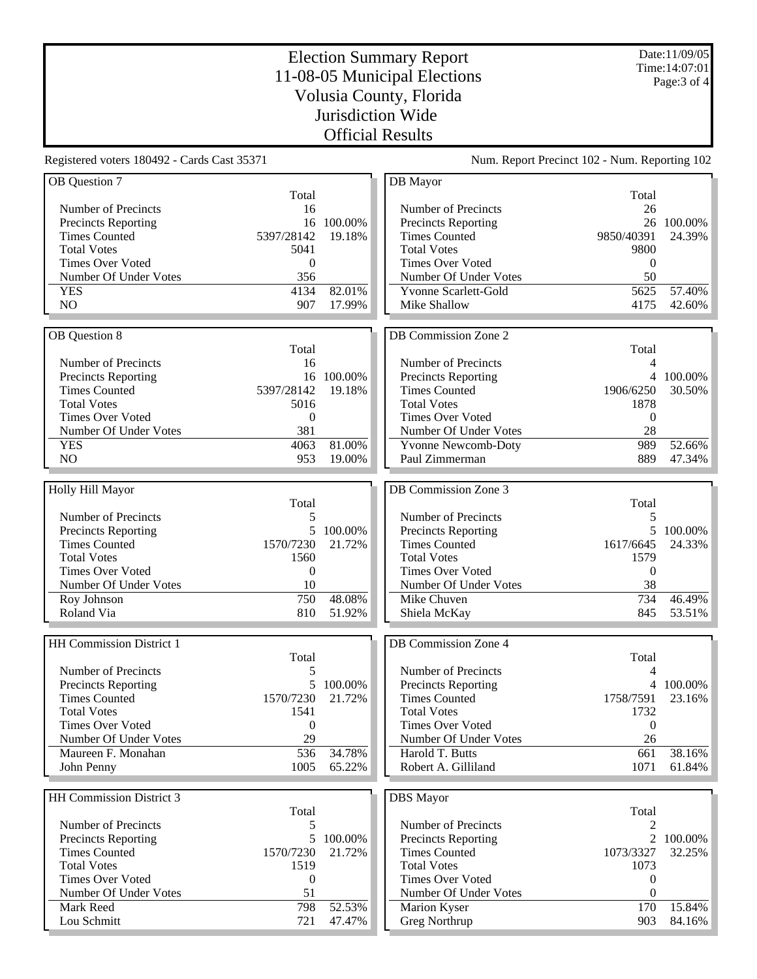Date:11/09/05 Time:14:07:01 Page:3 of 4

## Election Summary Report 11-08-05 Municipal Elections Volusia County, Florida Jurisdiction Wide Official Results

Registered voters 180492 - Cards Cast 35371 Num. Report Precinct 102 - Num. Reporting 102

| OB Question 7            |                  |            | DB Mayor                   |                  |            |
|--------------------------|------------------|------------|----------------------------|------------------|------------|
|                          | Total            |            |                            | Total            |            |
| Number of Precincts      | 16               |            | Number of Precincts        | 26               |            |
| Precincts Reporting      |                  | 16 100.00% | <b>Precincts Reporting</b> |                  | 26 100.00% |
| <b>Times Counted</b>     | 5397/28142       | 19.18%     | <b>Times Counted</b>       | 9850/40391       | 24.39%     |
| <b>Total Votes</b>       | 5041             |            | <b>Total Votes</b>         | 9800             |            |
|                          |                  |            |                            |                  |            |
| <b>Times Over Voted</b>  | $\mathbf{0}$     |            | <b>Times Over Voted</b>    | $\boldsymbol{0}$ |            |
| Number Of Under Votes    | 356              |            | Number Of Under Votes      | 50               |            |
| <b>YES</b>               | 4134             | 82.01%     | Yvonne Scarlett-Gold       | 5625             | 57.40%     |
| NO                       | 907              | 17.99%     | Mike Shallow               | 4175             | 42.60%     |
|                          |                  |            |                            |                  |            |
| OB Question 8            |                  |            | DB Commission Zone 2       |                  |            |
|                          | Total            |            |                            | Total            |            |
| Number of Precincts      |                  |            |                            | 4                |            |
|                          | 16               |            | Number of Precincts        |                  |            |
| Precincts Reporting      |                  | 16 100.00% | Precincts Reporting        |                  | 4 100.00%  |
| <b>Times Counted</b>     | 5397/28142       | 19.18%     | <b>Times Counted</b>       | 1906/6250        | 30.50%     |
| <b>Total Votes</b>       | 5016             |            | <b>Total Votes</b>         | 1878             |            |
| <b>Times Over Voted</b>  | $\boldsymbol{0}$ |            | <b>Times Over Voted</b>    | $\boldsymbol{0}$ |            |
| Number Of Under Votes    | 381              |            | Number Of Under Votes      | 28               |            |
| <b>YES</b>               | 4063             | 81.00%     | <b>Yvonne Newcomb-Doty</b> | 989              | 52.66%     |
| NO                       | 953              | 19.00%     | Paul Zimmerman             | 889              | 47.34%     |
|                          |                  |            |                            |                  |            |
|                          |                  |            |                            |                  |            |
| Holly Hill Mayor         |                  |            | DB Commission Zone 3       |                  |            |
|                          | Total            |            |                            | Total            |            |
| Number of Precincts      | 5                |            | Number of Precincts        | 5                |            |
| Precincts Reporting      | 5                | 100.00%    | Precincts Reporting        | 5                | 100.00%    |
| <b>Times Counted</b>     | 1570/7230        | 21.72%     | <b>Times Counted</b>       | 1617/6645        | 24.33%     |
| <b>Total Votes</b>       | 1560             |            | <b>Total Votes</b>         | 1579             |            |
| <b>Times Over Voted</b>  | $\mathbf{0}$     |            | <b>Times Over Voted</b>    | $\boldsymbol{0}$ |            |
| Number Of Under Votes    | 10               |            | Number Of Under Votes      | 38               |            |
|                          |                  | 48.08%     |                            | 734              | 46.49%     |
| Roy Johnson              | 750              |            | Mike Chuven                |                  |            |
| Roland Via               | 810              | 51.92%     | Shiela McKay               | 845              | 53.51%     |
|                          |                  |            |                            |                  |            |
| HH Commission District 1 |                  |            | DB Commission Zone 4       |                  |            |
|                          | Total            |            |                            | Total            |            |
| Number of Precincts      | 5                |            | Number of Precincts        | 4                |            |
| Precincts Reporting      |                  | 5 100.00%  | <b>Precincts Reporting</b> |                  | 4 100.00%  |
| <b>Times Counted</b>     | 1570/7230        | 21.72%     | <b>Times Counted</b>       | 1758/7591        | 23.16%     |
|                          |                  |            |                            |                  |            |
| <b>Total Votes</b>       | 1541             |            | <b>Total Votes</b>         | 1732             |            |
| <b>Times Over Voted</b>  | $\boldsymbol{0}$ |            | <b>Times Over Voted</b>    | $\boldsymbol{0}$ |            |
| Number Of Under Votes    | 29               |            | Number Of Under Votes      | 26               |            |
| Maureen F. Monahan       | 536              | 34.78%     | Harold T. Butts            | 661              | 38.16%     |
| John Penny               | 1005             | 65.22%     | Robert A. Gilliland        | 1071             | 61.84%     |
|                          |                  |            |                            |                  |            |
| HH Commission District 3 |                  |            |                            |                  |            |
|                          |                  |            | <b>DBS</b> Mayor           |                  |            |
|                          | Total            |            |                            | Total            |            |
| Number of Precincts      | 5                |            | Number of Precincts        | $\overline{2}$   |            |
| Precincts Reporting      | 5                | 100.00%    | Precincts Reporting        | $\overline{2}$   | 100.00%    |
| <b>Times Counted</b>     | 1570/7230        | 21.72%     | <b>Times Counted</b>       | 1073/3327        | 32.25%     |
| <b>Total Votes</b>       | 1519             |            | <b>Total Votes</b>         | 1073             |            |
| <b>Times Over Voted</b>  | $\boldsymbol{0}$ |            | <b>Times Over Voted</b>    | 0                |            |
| Number Of Under Votes    | 51               |            | Number Of Under Votes      | $\boldsymbol{0}$ |            |
| Mark Reed                | 798              | 52.53%     | Marion Kyser               | 170              | 15.84%     |
| Lou Schmitt              | 721              | 47.47%     | Greg Northrup              | 903              | 84.16%     |
|                          |                  |            |                            |                  |            |